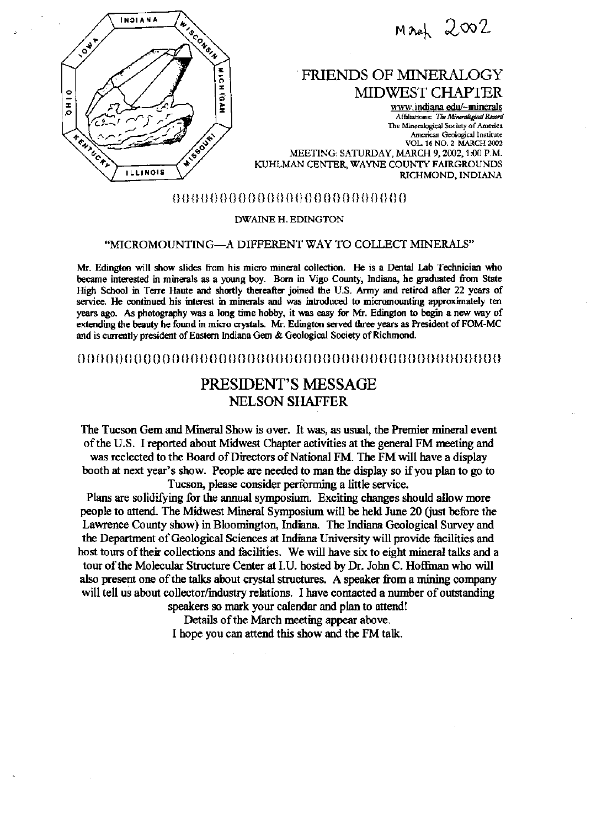

 $M$ aneh  $2002$ 

## ` FRIENDS OF NINERALOGY MIDWEST CHAPTER

www.indiana.edu/~minerals Affiliations: The Mineralogical Record The Mineralogical Society of America American Geological Institute VOL. 16 NO. 2 MARCH 2002 MEETING: SATURDAY, MARCH 9, 2002,1 :00 P.M. KUHLMAN CENTER, WAYNE COUNTY FAIRGROUNDS RICHMOND, INDIANA

### () () () () () () () () () () () () () () () () () () () () () () () () ()

#### DWAINE H. EDINGTON

### "MICROMOUNTING-A DIFFERENT WAY TO COLLECT MINERALS"

M. Edington will show slides from his miero mineral collection. He is a Dental Lab Technician who became interested in minerals as a young boy. Born in Vigo County, indiana, he graduated from State High School in Terre Haute and shortly thereafter joined the U.S. Army and retired after 22 years of service. He continued his interest in minerals and was introduced to micromounting approxinately ten years ago. As photography was a long time hobby, it was easy for Mr. Edington to begin a new way of extending the beauty he found in miero crystals. M. Edington served three years as President of FOM-MC and is currently president of Eastern Indiana Gem & Geological Society of RIchmond.

### ()()()()()()()()()()()()()()()()()()()()()()()()()()()()()()()()()()()()()()()()()()()()()

# PRESIDENT'S MESSAGE NELSON SHAFFER

The Tucson Gem and Mineral Show is over. It was, as usual, the Premier mineral event of the U.S. I reported about Midwest Chapter activities at the general FM meeting and was reelected to the Board of Directors of National FM. The FM will have a display booth at next year's show. People are needed to man the display so if you plan to go to Tucson, please consider performing a little service.

Plans are solidifying for the annual symposium. Exciting changes should allow more people to attend. The Midwest Mineral Symposium will be held June 20 (just before the Lawrence County show) in Bloomington, Indiana. The Indiana Geological Survey and the Department of Geological Sciences at Indiana University will provide facilities and host tours of their collections and facilities. We will have six to eight mineral taks and a tour of the Molecular Structure Center at I.U. hosted by Dr. John C. Hoflinan who will also present one of the taks about crystal structures. A speaker from a mining company will tell us about collector/industry relations. I have contacted a number of outstanding

speakers so mark your calendar and plan to attend! Details of the March meeting appear above. I hope you can attend this show and the FM tak.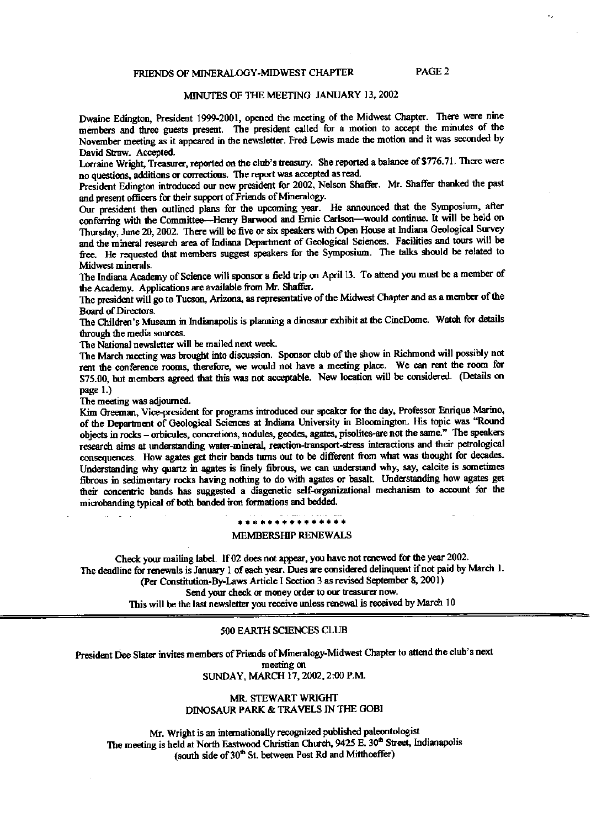### FRIENDS OF MINERALOGY-MIDWEST CHAPTER PAGE 2

### MINUTES OF THE MEETING JANUARY 13, 2002

Dwaine Edington, President 1999-2001, opened the meeting of the Midwest Chapter. There were nine members and three guests present. The president called for a motion to accept the minutes of the November meeting as it appeared in the newsletter. Fred Lewis made the motion and it was seconded by David Straw. Accepted.

Lorraine Wright, Treasurer, reported on the club's treasury. She reported a balance of \$776.71. There were no questions, additions or conections. The report was accepted as read.

President Edington introduced our new president for 2002, Nelson Shaffer. Mr. Shaffer thanked the past and present officers for their support of Friends of Mineralogy.

Our president then outlined plans for the upcoming year. He announced that the Symposium, after conferring with the Committee-Henry Barwood and Ernie Carlson-would continue. It will be held on Thursday, June 20, 2002. There will be five or six speakers with Open House at Indiana Geological Survey and the mineral research area of Indiana Department of Geological Sciences. Facilities and tours will be free. He requested that members suggest speakers for the Symposium. The talks should be related to Midwest minerals.

The Indiana Academy of Science will sponsor a field trip on April 13. To attend you must be a member of the Academy. Applications are available from Mr. Shaffer.

The president will go to Tucson, Arizona, as representative of the Midwest Chapter and as a member of the Board of Directors.

The Children's Museum in Indianapolis is planning a dinosaur exhibit at the CineDome. Watch for details through the media sources.

The National newsletter will be mailed next week.

The March meeting was brought into discussion. Sponsor club of the show in RIchmond will possibly not rent the conference rooms, therefore, we would not have a meeting place. We can rent the room for \$75.00, but members agreed that this was not acceptable. New location will be considered (Details on page 1.)

The meeting was adjourned.

Kim Greeman, Vice-president for programs introduced our speaker for the day, Professor Enrique Marino, of the Department of Geological Sciences at Indiana University in Bloomington. His topic was "Round objects in rocks - orbicules, concretions, nodules, geodes, agates, pisolites-are not the same." The speakers research aims at understanding water-mineral reaction-transport-stress interactions and their petrological consequences. How agates get their bands turns out to be different from what was thoucht for decades. Understanding why quartz in agates is finely fibrous, we can understand why, say, calcite is sometimes fibrous in sedimentary rceks having nothing to do with agates or basalt. Understanding how agates get their concentric bands has suggested a diagenetic self-onganizational mechanism to account for the mierobanding typical of both banded iron formations and bedded.

#### \*\*\*\*\*\*\*\*\*\*\*\*

#### MEMBERSHIP RENEWALS

Check your mailing label. If 02 does not appear, you have not renewed for the year 2002. The deadline for renewals is January 1 of each year. Dues are considered delinquent if not paid by March I. (Per Constitution-By-Laws Article I Section 3 as revised September 8, 2001) Send your check or money order to our treasurer now. This will be the last newsletter you receive unless renewal is received by March 10

#### 500 EARTH SCIENCES CLUB

President Dee Slater invites members of Friends of Mineralogy-Midwest Chapter to attend the club's next meeting on SUNDAY, MARCH 17, 2002, 2:00 P.M.

#### MR. STEWART WRIGHT DINOSAUR PARK & TRAVELS IN TIE GOBI

Mr. Wright is an internationally recognized published paleontologist The meeting is held at North Eastwood Christian Church, 9425 E. 30<sup>th</sup> Street, Indianapolis (south side of 30<sup>th</sup> St. between Post Rd and Mitthceffer)